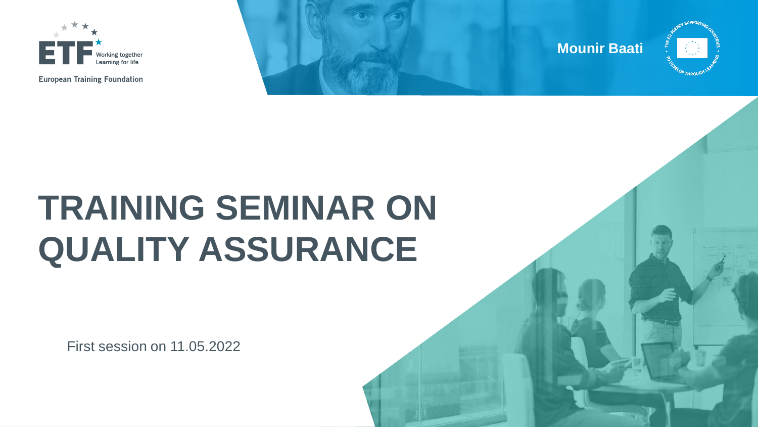



# **TRAINING SEMINAR ON QUALITY ASSURANCE**

First session on 11.05.2022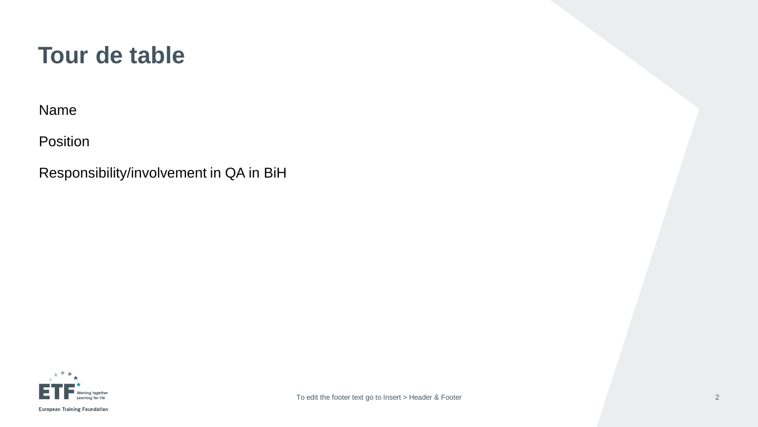#### **Tour de table**

Name

Position

Responsibility/involvement in QA in BiH

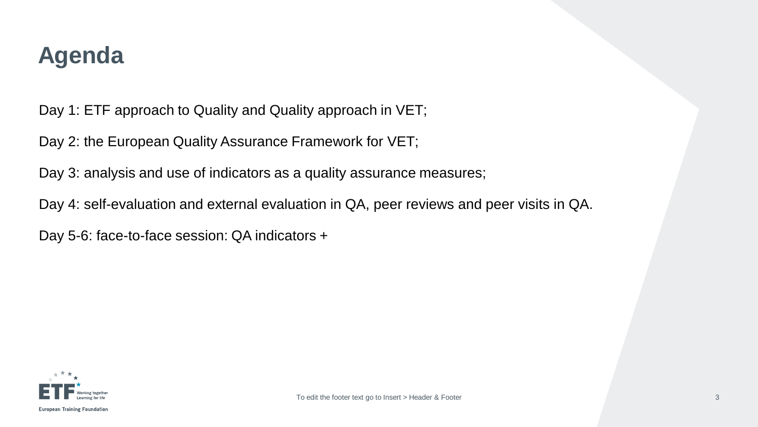#### **Agenda**

Day 1: ETF approach to Quality and Quality approach in VET;

Day 2: the European Quality Assurance Framework for VET;

Day 3: analysis and use of indicators as a quality assurance measures;

Day 4: self-evaluation and external evaluation in QA, peer reviews and peer visits in QA.

Day 5-6: face-to-face session: QA indicators +

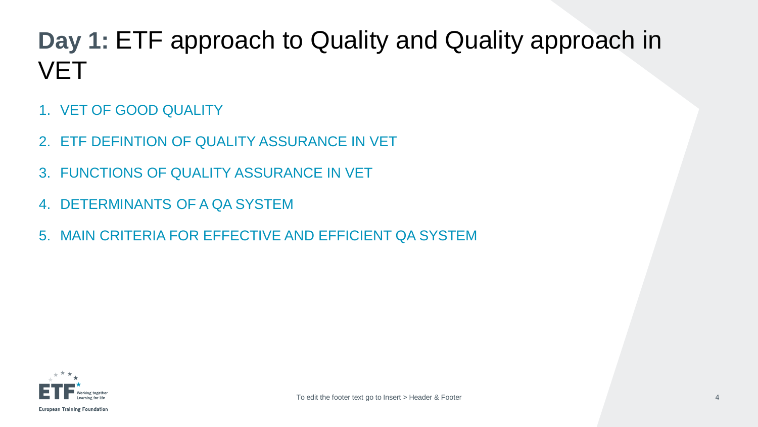## **Day 1:** ETF approach to Quality and Quality approach in **VET**

- 1. VET OF GOOD QUALITY
- 2. ETF DEFINTION OF QUALITY ASSURANCE IN VET
- 3. FUNCTIONS OF QUALITY ASSURANCE IN VET
- 4. DETERMINANTS OF A QA SYSTEM
- 5. MAIN CRITERIA FOR EFFECTIVE AND EFFICIENT QA SYSTEM

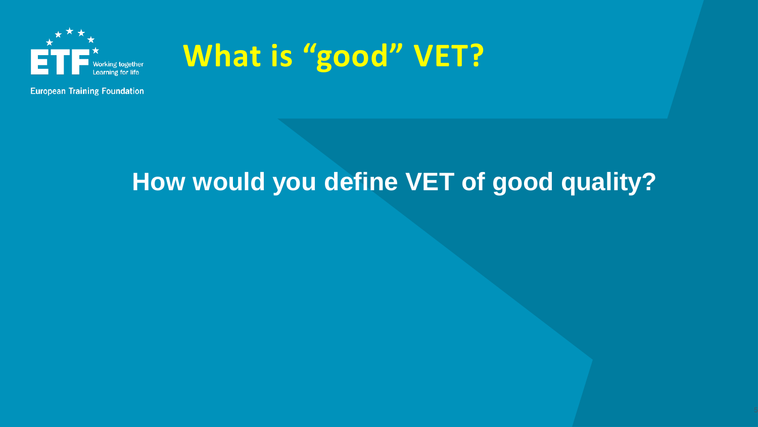

# **What is "good" VET?**

## **How would you define VET of good quality?**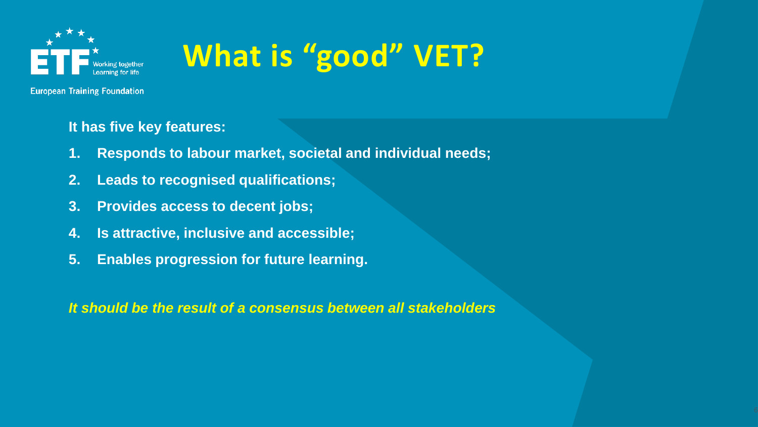

# **What is "good" VET?**

**European Training Foundation** 

#### **It has five key features:**

- **1. Responds to labour market, societal and individual needs;**
- **2. Leads to recognised qualifications;**
- **3. Provides access to decent jobs;**
- **4. Is attractive, inclusive and accessible;**
- **5. Enables progression for future learning.**

*It should be the result of a consensus between all stakeholders*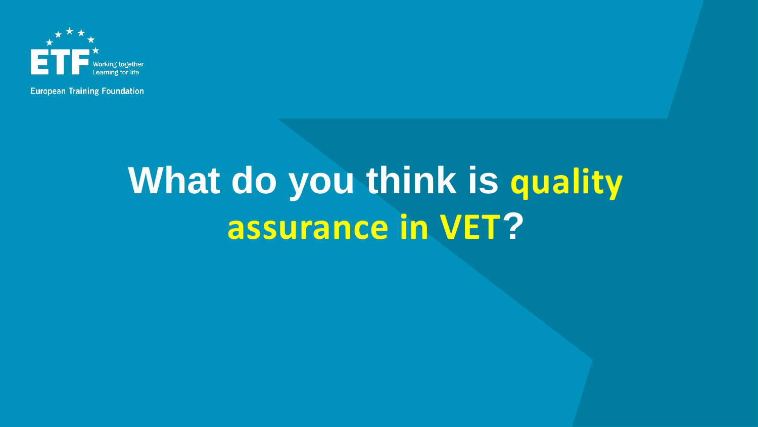

# **What do you think is quality assurance in VET?**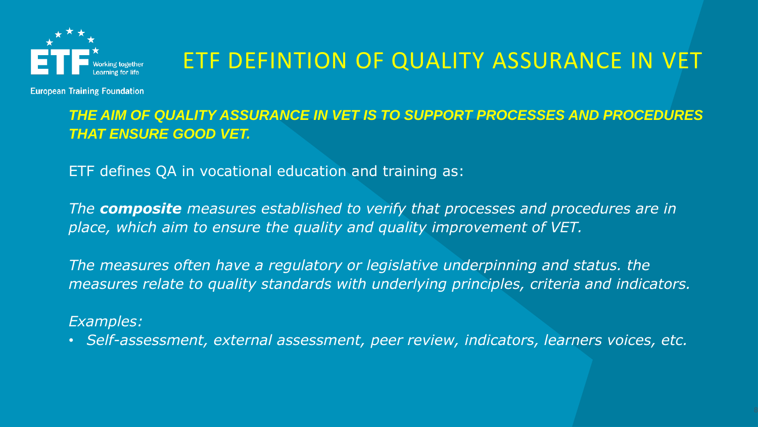

#### ETF DEFINTION OF QUALITY ASSURANCE IN VET

**European Training Foundation** 

*THE AIM OF QUALITY ASSURANCE IN VET IS TO SUPPORT PROCESSES AND PROCEDURES THAT ENSURE GOOD VET.*

ETF defines QA in vocational education and training as:

*The composite measures established to verify that processes and procedures are in place, which aim to ensure the quality and quality improvement of VET.* 

The measures often have a regulatory or legislative underpinning and status. the *measures relate to quality standards with underlying principles, criteria and indicators.* 

#### *Examples:*

• *Self-assessment, external assessment, peer review, indicators, learners voices, etc.*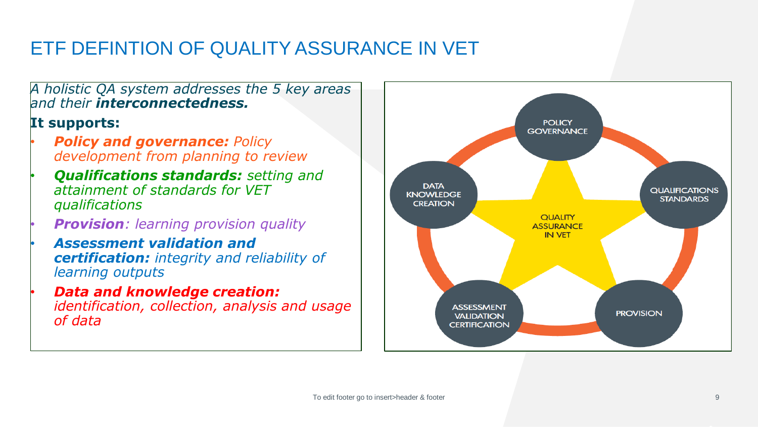#### ETF DEFINTION OF QUALITY ASSURANCE IN VET

*A holistic QA system addresses the 5 key areas and their interconnectedness.*

#### **It supports:**

- *Policy and governance: Policy development from planning to review*
- *Qualifications standards: setting and attainment of standards for VET qualifications*
- *Provision: learning provision quality*
- *Assessment validation and certification: integrity and reliability of learning outputs*
- *Data and knowledge creation: identification, collection, analysis and usage of data*

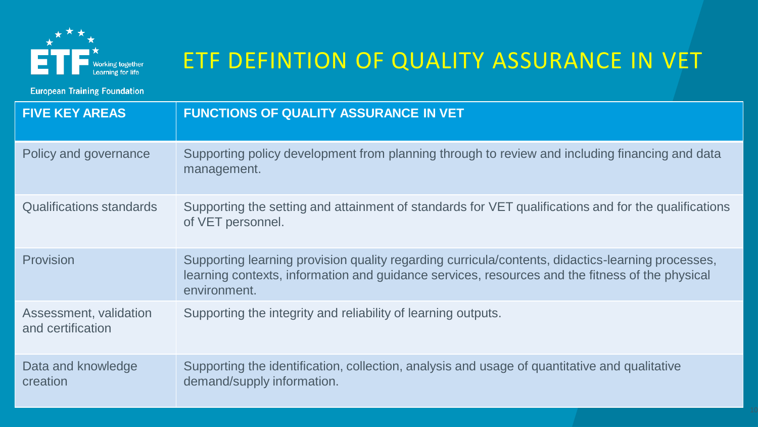

## ETF DEFINTION OF QUALITY ASSURANCE IN VET

**European Training Foundation** 

| <b>FIVE KEY AREAS</b>                       | <b>FUNCTIONS OF QUALITY ASSURANCE IN VET</b>                                                                                                                                                                         |
|---------------------------------------------|----------------------------------------------------------------------------------------------------------------------------------------------------------------------------------------------------------------------|
| Policy and governance                       | Supporting policy development from planning through to review and including financing and data<br>management.                                                                                                        |
| Qualifications standards                    | Supporting the setting and attainment of standards for VET qualifications and for the qualifications<br>of VET personnel.                                                                                            |
| Provision                                   | Supporting learning provision quality regarding curricula/contents, didactics-learning processes,<br>learning contexts, information and guidance services, resources and the fitness of the physical<br>environment. |
| Assessment, validation<br>and certification | Supporting the integrity and reliability of learning outputs.                                                                                                                                                        |
| Data and knowledge<br>creation              | Supporting the identification, collection, analysis and usage of quantitative and qualitative<br>demand/supply information.                                                                                          |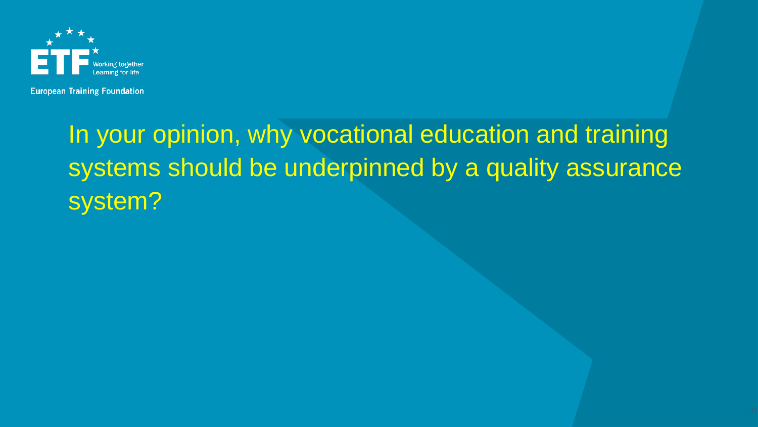

# In your opinion, why vocational education and training systems should be underpinned by a quality assurance system?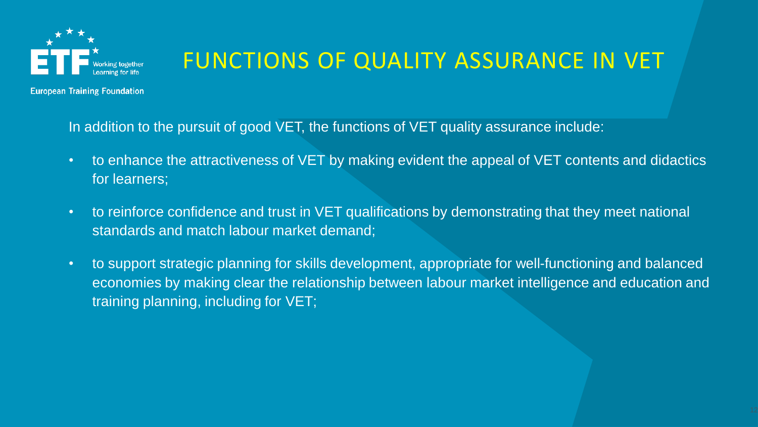

### FUNCTIONS OF QUALITY ASSURANCE IN VET

**European Training Foundation** 

In addition to the pursuit of good VET, the functions of VET quality assurance include:

- to enhance the attractiveness of VET by making evident the appeal of VET contents and didactics for learners;
- to reinforce confidence and trust in VET qualifications by demonstrating that they meet national standards and match labour market demand;
- to support strategic planning for skills development, appropriate for well-functioning and balanced economies by making clear the relationship between labour market intelligence and education and training planning, including for VET;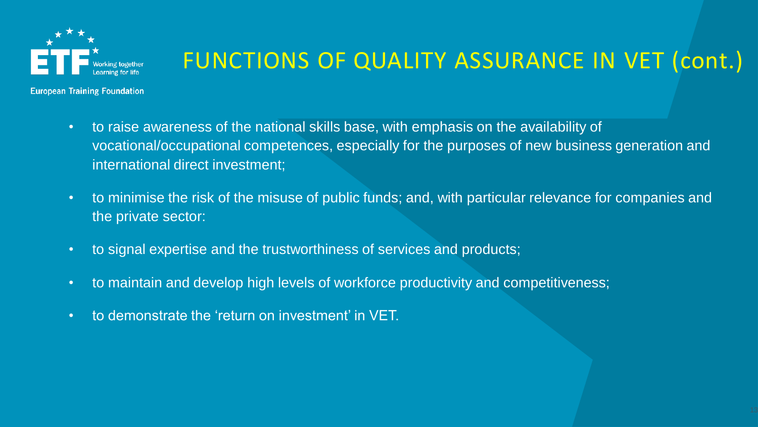

## FUNCTIONS OF QUALITY ASSURANCE IN VET (cont.)

**European Training Foundation** 

- to raise awareness of the national skills base, with emphasis on the availability of vocational/occupational competences, especially for the purposes of new business generation and international direct investment;
- to minimise the risk of the misuse of public funds; and, with particular relevance for companies and the private sector:
- to signal expertise and the trustworthiness of services and products;
- to maintain and develop high levels of workforce productivity and competitiveness;
- to demonstrate the 'return on investment' in VET.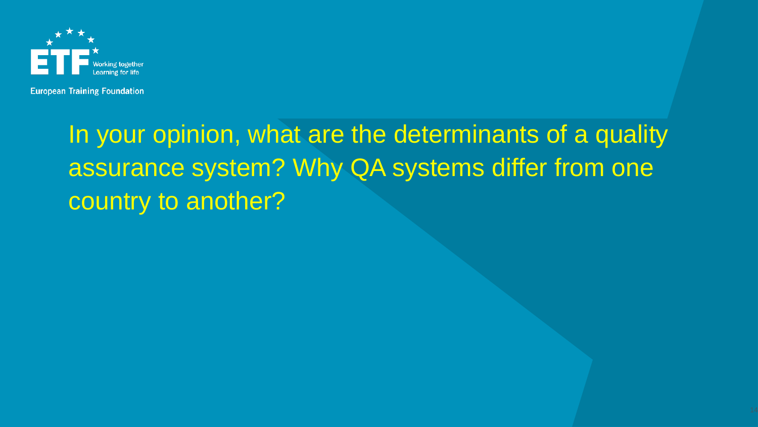

# In your opinion, what are the determinants of a quality assurance system? Why QA systems differ from one country to another?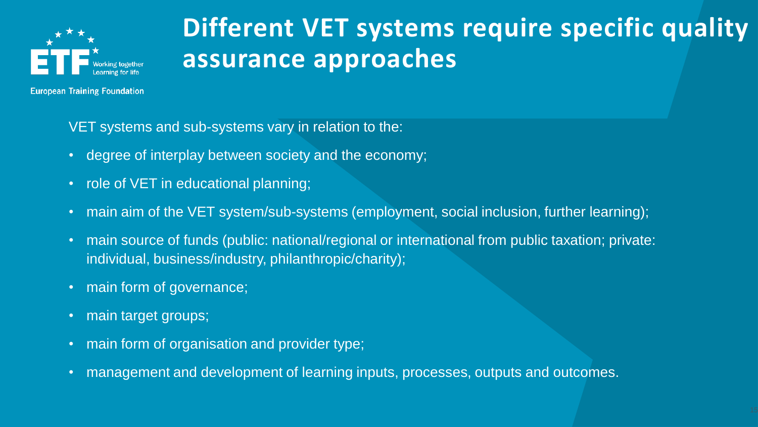

## **Different VET systems require specific quality assurance approaches**

**European Training Foundation** 

VET systems and sub-systems vary in relation to the:

- degree of interplay between society and the economy;
- role of VET in educational planning;
- main aim of the VET system/sub-systems (employment, social inclusion, further learning);
- main source of funds (public: national/regional or international from public taxation; private: individual, business/industry, philanthropic/charity);
- main form of governance;
- main target groups;
- main form of organisation and provider type;
- management and development of learning inputs, processes, outputs and outcomes.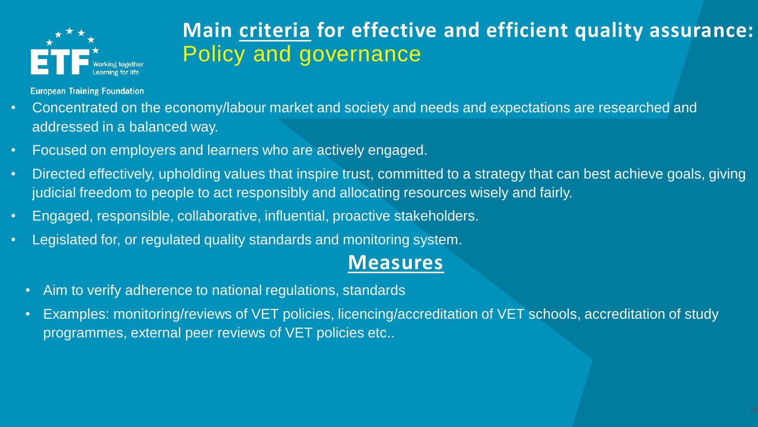

#### **Main criteria for effective and efficient quality assurance:**  Policy and governance

**European Training Foundation** 

- Concentrated on the economy/labour market and society and needs and expectations are researched and addressed in a balanced way.
- Focused on employers and learners who are actively engaged.
- Directed effectively, upholding values that inspire trust, committed to a strategy that can best achieve goals, giving judicial freedom to people to act responsibly and allocating resources wisely and fairly.
- Engaged, responsible, collaborative, influential, proactive stakeholders.
- Legislated for, or regulated quality standards and monitoring system.

#### **Measures**

- Aim to verify adherence to national regulations, standards
- Examples: monitoring/reviews of VET policies, licencing/accreditation of VET schools, accreditation of study programmes, external peer reviews of VET policies etc..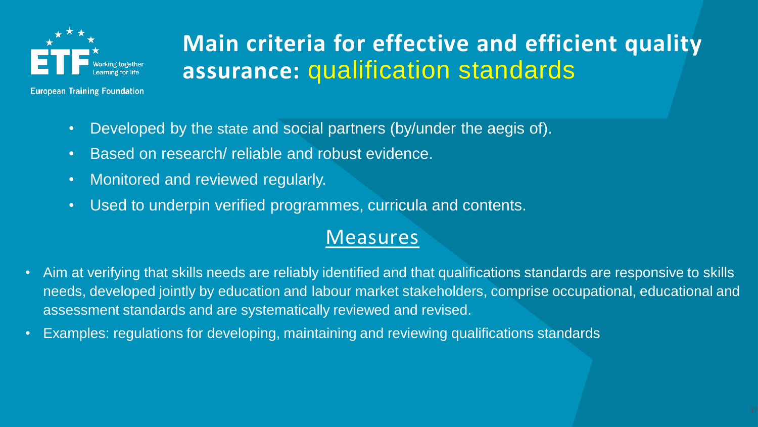

## **Main criteria for effective and efficient quality assurance:** qualification standards

- Developed by the state and social partners (by/under the aegis of).
- Based on research/ reliable and robust evidence.
- Monitored and reviewed regularly.
- Used to underpin verified programmes, curricula and contents.

#### Measures

- Aim at verifying that skills needs are reliably identified and that qualifications standards are responsive to skills needs, developed jointly by education and labour market stakeholders, comprise occupational, educational and assessment standards and are systematically reviewed and revised.
- Examples: regulations for developing, maintaining and reviewing qualifications standards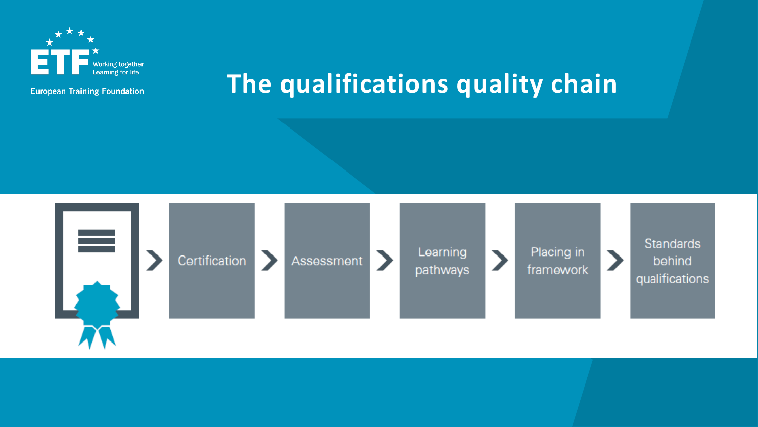

# **The qualifications quality chain**

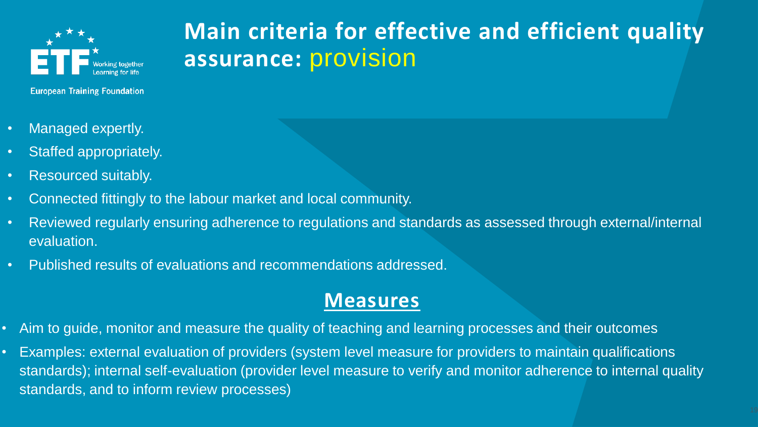

#### **Main criteria for effective and efficient quality assurance:** provision

**European Training Foundation** 

- Managed expertly.
- Staffed appropriately.
- Resourced suitably.
- Connected fittingly to the labour market and local community.
- Reviewed regularly ensuring adherence to regulations and standards as assessed through external/internal evaluation.
- Published results of evaluations and recommendations addressed.

#### **Measures**

- Aim to guide, monitor and measure the quality of teaching and learning processes and their outcomes
- Examples: external evaluation of providers (system level measure for providers to maintain qualifications standards); internal self-evaluation (provider level measure to verify and monitor adherence to internal quality standards, and to inform review processes)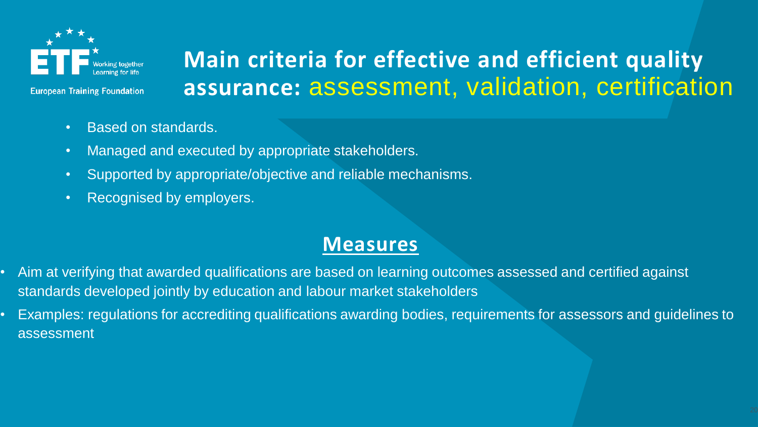

**Main criteria for effective and efficient quality assurance:** assessment, validation, certification

- - Based on standards.
	- Managed and executed by appropriate stakeholders.
	- Supported by appropriate/objective and reliable mechanisms.
	- Recognised by employers.

#### **Measures**

- Aim at verifying that awarded qualifications are based on learning outcomes assessed and certified against standards developed jointly by education and labour market stakeholders
- Examples: regulations for accrediting qualifications awarding bodies, requirements for assessors and guidelines to assessment